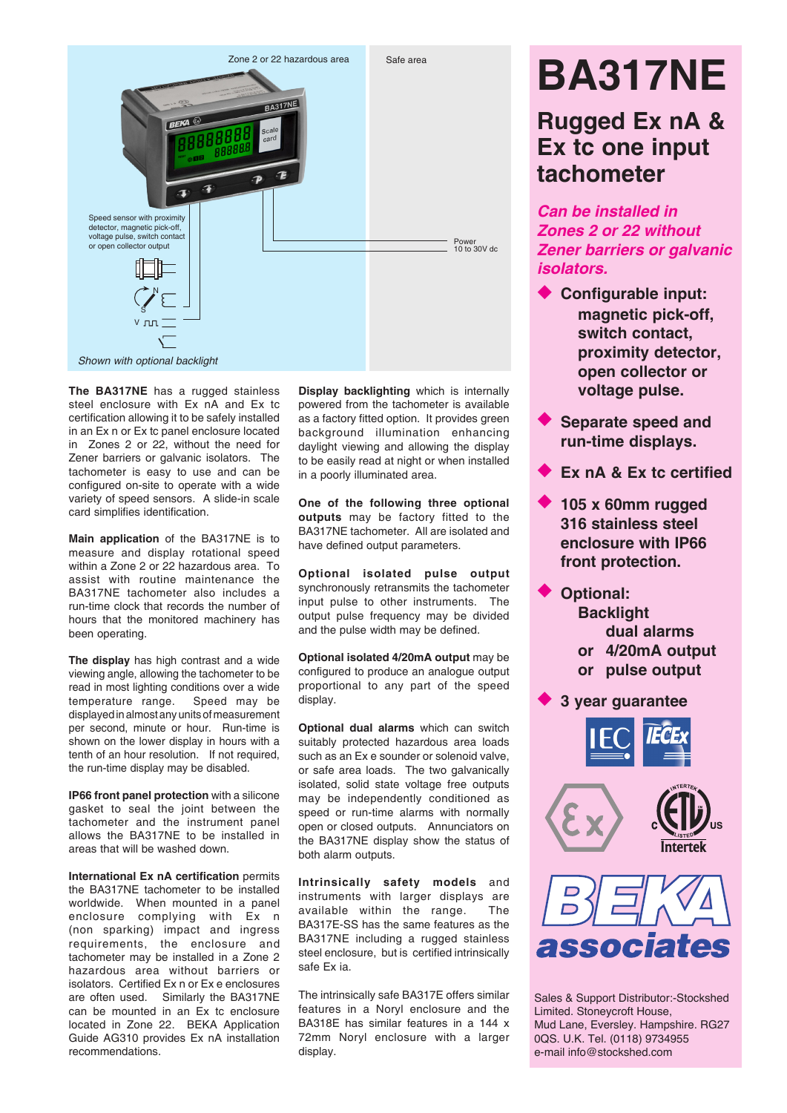

The **BA317NE** has a rugged stainless steel enclosure with Ex nA and Ex tc certification allowing it to be safely installed in an Ex n or Ex tc panel enclosure located in Zones 2 or 22, without the need for Zener barriers or galvanic isolators. The tachometer is easy to use and can be configured on-site to operate with a wide variety of speed sensors. A slide-in scale card simplifies identification.

**Main application** of the BA317NE is to measure and display rotational speed within a Zone 2 or 22 hazardous area. To assist with routine maintenance the BA317NE tachometer also includes a run-time clock that records the number of hours that the monitored machinery has been operating.

**The display** has high contrast and a wide viewing angle, allowing the tachometer to be read in most lighting conditions over a wide temperature range. Speed may be displayed in almost any units of measurement per second, minute or hour. Run-time is shown on the lower display in hours with a tenth of an hour resolution. If not required, the run-time display may be disabled.

**IP66 front panel protection** with a silicone gasket to seal the joint between the tachometer and the instrument panel allows the BA317NE to be installed in areas that will be washed down.

**International Ex nA certification** permits the BA317NE tachometer to be installed worldwide. When mounted in a panel enclosure complying with Ex n (non sparking) impact and ingress requirements, the enclosure and tachometer may be installed in a Zone 2 hazardous area without barriers or isolators. Certified Ex n or Ex e enclosures are often used. Similarly the BA317NE can be mounted in an Ex tc enclosure located in Zone 22. BEKA Application Guide AG310 provides Ex nA installation recommendations.

**Display backlighting** which is internally powered from the tachometer is available as a factory fitted option. It provides green background illumination enhancing daylight viewing and allowing the display to be easily read at night or when installed in a poorly illuminated area.

**One of the following three optional outputs** may be factory fitted to the BA317NE tachometer. All are isolated and have defined output parameters.

**Optional isolated pulse output**  synchronously retransmits the tachometer input pulse to other instruments. The output pulse frequency may be divided and the pulse width may be defined.

**Optional isolated 4/20mA output** may be configured to produce an analogue output proportional to any part of the speed display.

**Optional dual alarms** which can switch suitably protected hazardous area loads such as an Ex e sounder or solenoid valve, or safe area loads. The two galvanically isolated, solid state voltage free outputs may be independently conditioned as speed or run-time alarms with normally open or closed outputs. Annunciators on the BA317NE display show the status of both alarm outputs.

**Intrinsically safety models** and instruments with larger displays are available within the range. The BA317E-SS has the same features as the BA317NE including a rugged stainless steel enclosure, but is certified intrinsically safe Ex ia.

The intrinsically safe BA317E offers similar features in a Noryl enclosure and the BA318E has similar features in a 144 x 72mm Noryl enclosure with a larger display.

# **BA317NE**

# **Rugged Ex nA & Ex tc one input tachometer**

*Can be installed in Zones 2 or 22 without Zener barriers or galvanic isolators.*

- ◆ Configurable input: **magnetic pick-off, switch contact, proximity detector, open collector or voltage pulse.**
- **Separate speed and run-time displays.**
- Ex nA & Ex tc certified
- u **105 x 60mm rugged 316 stainless steel enclosure with IP66 front protection.**
	- **Optional: Backlight dual alarms or 4/20mA output or pulse output**
- **3 year guarantee**







Sales & Support Distributor:-Stockshed Limited. Stoneycroft House, Mud Lane, Eversley. Hampshire. RG27 0QS. U.K. Tel. (0118) 9734955 e-mail info@stockshed.com